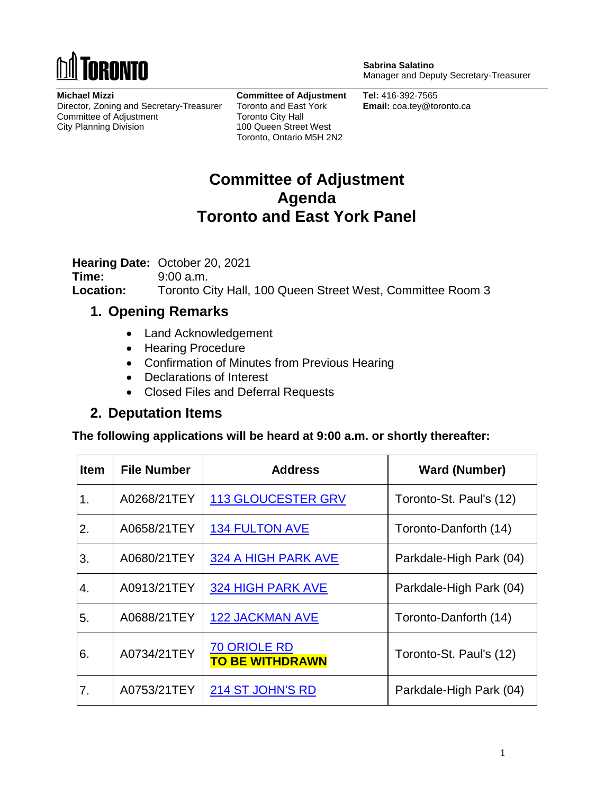

**Michael Mizzi** Director, Zoning and Secretary-Treasurer Committee of Adjustment City Planning Division

**Committee of Adjustment** Toronto and East York Toronto City Hall 100 Queen Street West Toronto, Ontario M5H 2N2

**Sabrina Salatino** Manager and Deputy Secretary-Treasurer

**Tel:** 416-392-7565 **Email:** coa.tey@toronto.ca

## **Committee of Adjustment Agenda Toronto and East York Panel**

**Hearing Date:** October 20, 2021

**Time:** 9:00 a.m. **Location:** Toronto City Hall, 100 Queen Street West, Committee Room 3

## **1. Opening Remarks**

- Land Acknowledgement
- Hearing Procedure
- Confirmation of Minutes from Previous Hearing
- Declarations of Interest
- Closed Files and Deferral Requests

## **2. Deputation Items**

**The following applications will be heard at 9:00 a.m. or shortly thereafter:**

| <b>Item</b> | <b>File Number</b> | <b>Address</b>                                | <b>Ward (Number)</b>    |
|-------------|--------------------|-----------------------------------------------|-------------------------|
| 1.          | A0268/21TEY        | <b>113 GLOUCESTER GRV</b>                     | Toronto-St. Paul's (12) |
| 2.          | A0658/21TEY        | <b>134 FULTON AVE</b>                         | Toronto-Danforth (14)   |
| 3.          | A0680/21TEY        | 324 A HIGH PARK AVE                           | Parkdale-High Park (04) |
| 4.          | A0913/21TEY        | <b>324 HIGH PARK AVE</b>                      | Parkdale-High Park (04) |
| 5.          | A0688/21TEY        | <b>122 JACKMAN AVE</b>                        | Toronto-Danforth (14)   |
| 6.          | A0734/21TEY        | <b>70 ORIOLE RD</b><br><b>TO BE WITHDRAWN</b> | Toronto-St. Paul's (12) |
| 7.          | A0753/21TEY        | 214 ST JOHN'S RD                              | Parkdale-High Park (04) |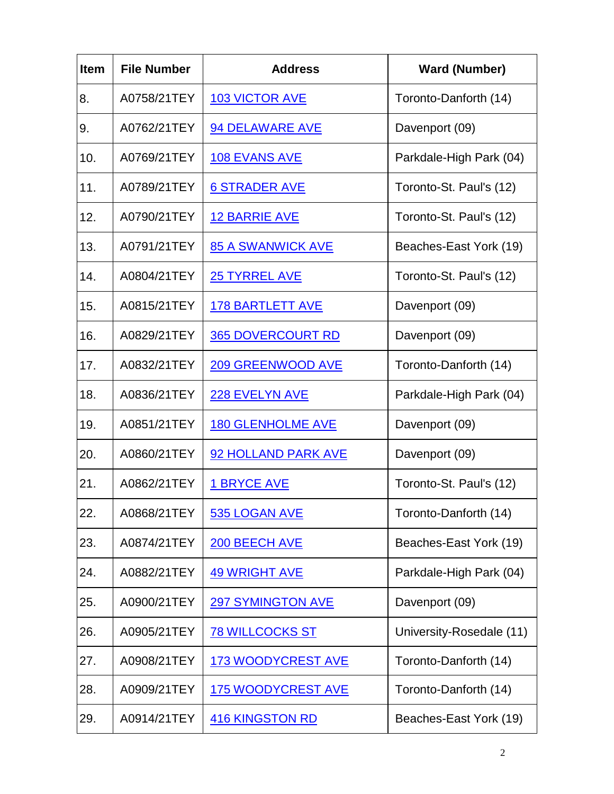| <b>Item</b> | <b>File Number</b> | <b>Address</b>            | <b>Ward (Number)</b>     |
|-------------|--------------------|---------------------------|--------------------------|
| 8.          | A0758/21TEY        | <b>103 VICTOR AVE</b>     | Toronto-Danforth (14)    |
| 9.          | A0762/21TEY        | 94 DELAWARE AVE           | Davenport (09)           |
| 10.         | A0769/21TEY        | <b>108 EVANS AVE</b>      | Parkdale-High Park (04)  |
| 11.         | A0789/21TEY        | <b>6 STRADER AVE</b>      | Toronto-St. Paul's (12)  |
| 12.         | A0790/21TEY        | <b>12 BARRIE AVE</b>      | Toronto-St. Paul's (12)  |
| 13.         | A0791/21TEY        | <b>85 A SWANWICK AVE</b>  | Beaches-East York (19)   |
| 14.         | A0804/21TEY        | <b>25 TYRREL AVE</b>      | Toronto-St. Paul's (12)  |
| 15.         | A0815/21TEY        | <b>178 BARTLETT AVE</b>   | Davenport (09)           |
| 16.         | A0829/21TEY        | <b>365 DOVERCOURT RD</b>  | Davenport (09)           |
| 17.         | A0832/21TEY        | <b>209 GREENWOOD AVE</b>  | Toronto-Danforth (14)    |
| 18.         | A0836/21TEY        | 228 EVELYN AVE            | Parkdale-High Park (04)  |
| 19.         | A0851/21TEY        | <b>180 GLENHOLME AVE</b>  | Davenport (09)           |
| 20.         | A0860/21TEY        | 92 HOLLAND PARK AVE       | Davenport (09)           |
| 21.         | A0862/21TEY        | <b>1 BRYCE AVE</b>        | Toronto-St. Paul's (12)  |
| 22.         | A0868/21TEY        | 535 LOGAN AVE             | Toronto-Danforth (14)    |
| 23.         | A0874/21TEY        | 200 BEECH AVE             | Beaches-East York (19)   |
| 24.         | A0882/21TEY        | <b>49 WRIGHT AVE</b>      | Parkdale-High Park (04)  |
| 25.         | A0900/21TEY        | <b>297 SYMINGTON AVE</b>  | Davenport (09)           |
| 26.         | A0905/21TEY        | <b>78 WILLCOCKS ST</b>    | University-Rosedale (11) |
| 27.         | A0908/21TEY        | <b>173 WOODYCREST AVE</b> | Toronto-Danforth (14)    |
| 28.         | A0909/21TEY        | <b>175 WOODYCREST AVE</b> | Toronto-Danforth (14)    |
| 29.         | A0914/21TEY        | <b>416 KINGSTON RD</b>    | Beaches-East York (19)   |